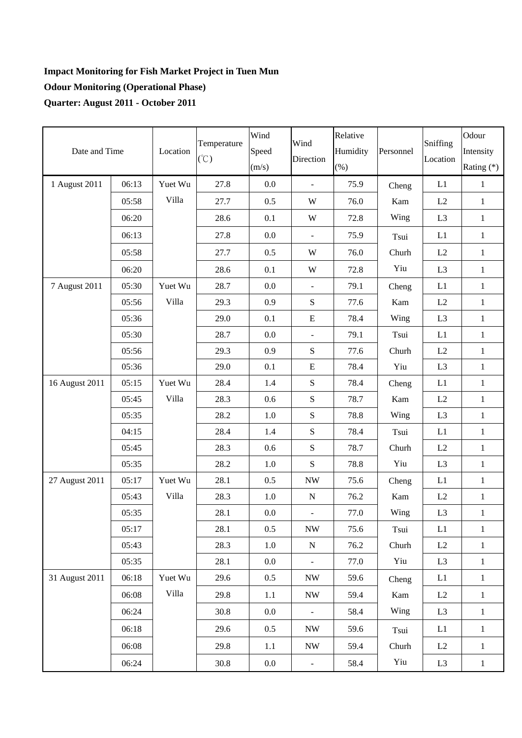## **Impact Monitoring for Fish Market Project in Tuen Mun Odour Monitoring (Operational Phase) Quarter: August 2011 - October 2011**

| Date and Time  |       | Location | Temperature<br>$(\degree C)$ | Wind<br>Speed<br>(m/s) | Wind<br>Direction        | Relative<br>Humidity<br>$(\%)$ | Personnel | Sniffing<br>Location | Odour<br>Intensity<br>Rating (*) |
|----------------|-------|----------|------------------------------|------------------------|--------------------------|--------------------------------|-----------|----------------------|----------------------------------|
| 1 August 2011  | 06:13 | Yuet Wu  | 27.8                         | 0.0                    | $\blacksquare$           | 75.9                           | Cheng     | L1                   | $\mathbf{1}$                     |
|                | 05:58 | Villa    | 27.7                         | 0.5                    | W                        | 76.0                           | Kam       | L2                   | $\mathbf{1}$                     |
|                | 06:20 |          | 28.6                         | 0.1                    | W                        | 72.8                           | Wing      | L <sub>3</sub>       | $\mathbf{1}$                     |
|                | 06:13 |          | 27.8                         | 0.0                    | $\bar{\phantom{a}}$      | 75.9                           | Tsui      | L1                   | $\mathbf{1}$                     |
|                | 05:58 |          | 27.7                         | 0.5                    | W                        | 76.0                           | Churh     | L2                   | $\mathbf{1}$                     |
|                | 06:20 |          | 28.6                         | 0.1                    | W                        | 72.8                           | Yiu       | L <sub>3</sub>       | $\mathbf{1}$                     |
| 7 August 2011  | 05:30 | Yuet Wu  | 28.7                         | 0.0                    | $\blacksquare$           | 79.1                           | Cheng     | L1                   | $\mathbf{1}$                     |
|                | 05:56 | Villa    | 29.3                         | 0.9                    | ${\bf S}$                | 77.6                           | Kam       | L2                   | $\mathbf{1}$                     |
|                | 05:36 |          | 29.0                         | 0.1                    | ${\bf E}$                | 78.4                           | Wing      | L <sub>3</sub>       | $\mathbf{1}$                     |
|                | 05:30 |          | 28.7                         | 0.0                    | $\blacksquare$           | 79.1                           | Tsui      | L1                   | $\mathbf{1}$                     |
|                | 05:56 |          | 29.3                         | 0.9                    | ${\bf S}$                | 77.6                           | Churh     | L2                   | $\mathbf{1}$                     |
|                | 05:36 |          | 29.0                         | 0.1                    | ${\bf E}$                | 78.4                           | Yiu       | L <sub>3</sub>       | $\mathbf{1}$                     |
| 16 August 2011 | 05:15 | Yuet Wu  | 28.4                         | 1.4                    | ${\bf S}$                | 78.4                           | Cheng     | L1                   | $\mathbf{1}$                     |
|                | 05:45 | Villa    | 28.3                         | 0.6                    | ${\bf S}$                | 78.7                           | Kam       | $\rm L2$             | $\mathbf{1}$                     |
|                | 05:35 |          | 28.2                         | 1.0                    | ${\bf S}$                | 78.8                           | Wing      | L <sub>3</sub>       | $\mathbf{1}$                     |
|                | 04:15 |          | 28.4                         | 1.4                    | ${\bf S}$                | 78.4                           | Tsui      | L1                   | $\mathbf{1}$                     |
|                | 05:45 |          | 28.3                         | 0.6                    | ${\bf S}$                | 78.7                           | Churh     | L2                   | $\mathbf{1}$                     |
|                | 05:35 |          | 28.2                         | 1.0                    | ${\bf S}$                | 78.8                           | Yiu       | L <sub>3</sub>       | $\mathbf{1}$                     |
| 27 August 2011 | 05:17 | Yuet Wu  | 28.1                         | 0.5                    | <b>NW</b>                | 75.6                           | Cheng     | L1                   | $\mathbf{1}$                     |
|                | 05:43 | Villa    | 28.3                         | 1.0                    | ${\bf N}$                | 76.2                           | Kam       | L2                   | $\mathbf{1}$                     |
|                | 05:35 |          | 28.1                         | 0.0                    | $\blacksquare$           | 77.0                           | Wing      | L <sub>3</sub>       | $\mathbf{1}$                     |
|                | 05:17 |          | 28.1                         | 0.5                    | $\ensuremath{\text{NW}}$ | 75.6                           | Tsui      | L1                   | $\mathbf{1}$                     |
|                | 05:43 |          | 28.3                         | $1.0\,$                | ${\bf N}$                | 76.2                           | Churh     | L2                   | $\mathbf{1}$                     |
|                | 05:35 |          | 28.1                         | $0.0\,$                | $\blacksquare$           | 77.0                           | Yiu       | L <sub>3</sub>       | $\mathbf{1}$                     |
| 31 August 2011 | 06:18 | Yuet Wu  | 29.6                         | 0.5                    | <b>NW</b>                | 59.6                           | Cheng     | L1                   | $1\,$                            |
|                | 06:08 | Villa    | 29.8                         | 1.1                    | $\ensuremath{\text{NW}}$ | 59.4                           | Kam       | L2                   | $\mathbf{1}$                     |
|                | 06:24 |          | 30.8                         | 0.0                    |                          | 58.4                           | Wing      | L <sub>3</sub>       | $\mathbf{1}$                     |
|                | 06:18 |          | 29.6                         | 0.5                    | <b>NW</b>                | 59.6                           | Tsui      | L1                   | $\mathbf{1}$                     |
|                | 06:08 |          | 29.8                         | 1.1                    | $\ensuremath{\text{NW}}$ | 59.4                           | Churh     | L2                   | $\mathbf{1}$                     |
|                | 06:24 |          | 30.8                         | $0.0\,$                | $\overline{\phantom{a}}$ | 58.4                           | Yiu       | L <sub>3</sub>       | $\mathbf{1}$                     |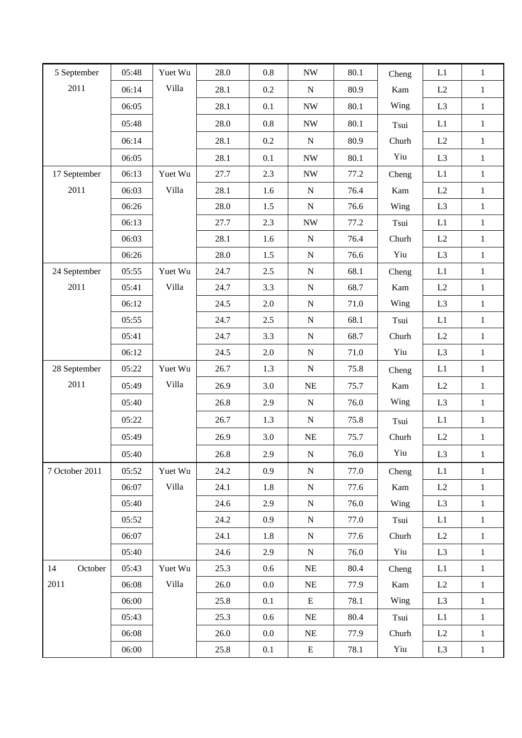| 5 September    | 05:48 | Yuet Wu | 28.0 | 0.8 | $\ensuremath{\text{NW}}$ | 80.1 | Cheng | L1             | $\mathbf{1}$ |
|----------------|-------|---------|------|-----|--------------------------|------|-------|----------------|--------------|
| 2011           | 06:14 | Villa   | 28.1 | 0.2 | ${\bf N}$                | 80.9 | Kam   | L2             | $\mathbf{1}$ |
|                | 06:05 |         | 28.1 | 0.1 | $\ensuremath{\text{NW}}$ | 80.1 | Wing  | L <sub>3</sub> | $\mathbf{1}$ |
|                | 05:48 |         | 28.0 | 0.8 | $\ensuremath{\text{NW}}$ | 80.1 | Tsui  | L1             | $\mathbf{1}$ |
|                | 06:14 |         | 28.1 | 0.2 | ${\bf N}$                | 80.9 | Churh | L2             | $1\,$        |
|                | 06:05 |         | 28.1 | 0.1 | $\ensuremath{\text{NW}}$ | 80.1 | Yiu   | L <sub>3</sub> | $1\,$        |
| 17 September   | 06:13 | Yuet Wu | 27.7 | 2.3 | $\ensuremath{\text{NW}}$ | 77.2 | Cheng | L1             | $\mathbf{1}$ |
| 2011           | 06:03 | Villa   | 28.1 | 1.6 | ${\bf N}$                | 76.4 | Kam   | L2             | $1\,$        |
|                | 06:26 |         | 28.0 | 1.5 | ${\bf N}$                | 76.6 | Wing  | L <sub>3</sub> | $\mathbf{1}$ |
|                | 06:13 |         | 27.7 | 2.3 | $\ensuremath{\text{NW}}$ | 77.2 | Tsui  | L1             | $\mathbf{1}$ |
|                | 06:03 |         | 28.1 | 1.6 | ${\bf N}$                | 76.4 | Churh | L2             | $\mathbf{1}$ |
|                | 06:26 |         | 28.0 | 1.5 | ${\bf N}$                | 76.6 | Yiu   | L <sub>3</sub> | $\mathbf{1}$ |
| 24 September   | 05:55 | Yuet Wu | 24.7 | 2.5 | ${\bf N}$                | 68.1 | Cheng | L1             | $1\,$        |
| 2011           | 05:41 | Villa   | 24.7 | 3.3 | ${\bf N}$                | 68.7 | Kam   | L2             | $\mathbf{1}$ |
|                | 06:12 |         | 24.5 | 2.0 | ${\bf N}$                | 71.0 | Wing  | L <sub>3</sub> | $1\,$        |
|                | 05:55 |         | 24.7 | 2.5 | ${\bf N}$                | 68.1 | Tsui  | L1             | $1\,$        |
|                | 05:41 |         | 24.7 | 3.3 | ${\bf N}$                | 68.7 | Churh | L2             | $\mathbf{1}$ |
|                | 06:12 |         | 24.5 | 2.0 | ${\bf N}$                | 71.0 | Yiu   | L <sub>3</sub> | $\mathbf{1}$ |
| 28 September   | 05:22 | Yuet Wu | 26.7 | 1.3 | ${\bf N}$                | 75.8 | Cheng | L1             | $1\,$        |
| 2011           | 05:49 | Villa   | 26.9 | 3.0 | $\rm NE$                 | 75.7 | Kam   | L2             | $\mathbf{1}$ |
|                | 05:40 |         | 26.8 | 2.9 | ${\bf N}$                | 76.0 | Wing  | L <sub>3</sub> | $\mathbf{1}$ |
|                | 05:22 |         | 26.7 | 1.3 | ${\bf N}$                | 75.8 | Tsui  | L1             | $1\,$        |
|                | 05:49 |         | 26.9 | 3.0 | NE                       | 75.7 | Churh | L2             | $\mathbf{1}$ |
|                | 05:40 |         | 26.8 | 2.9 | ${\bf N}$                | 76.0 | Yiu   | L <sub>3</sub> | $\mathbf{1}$ |
| 7 October 2011 | 05:52 | Yuet Wu | 24.2 | 0.9 | ${\bf N}$                | 77.0 | Cheng | L1             | $\mathbf{1}$ |
|                | 06:07 | Villa   | 24.1 | 1.8 | ${\bf N}$                | 77.6 | Kam   | L2             | $1\,$        |
|                | 05:40 |         | 24.6 | 2.9 | ${\bf N}$                | 76.0 | Wing  | L <sub>3</sub> | $\mathbf{1}$ |
|                | 05:52 |         | 24.2 | 0.9 | ${\bf N}$                | 77.0 | Tsui  | L1             | $\mathbf{1}$ |
|                | 06:07 |         | 24.1 | 1.8 | ${\bf N}$                | 77.6 | Churh | L2             | $\mathbf{1}$ |
|                | 05:40 |         | 24.6 | 2.9 | ${\bf N}$                | 76.0 | Yiu   | L3             | $1\,$        |
| 14<br>October  | 05:43 | Yuet Wu | 25.3 | 0.6 | $\rm NE$                 | 80.4 | Cheng | L1             | $1\,$        |
| 2011           | 06:08 | Villa   | 26.0 | 0.0 | NE                       | 77.9 | Kam   | L2             | $1\,$        |
|                | 06:00 |         | 25.8 | 0.1 | E                        | 78.1 | Wing  | L <sub>3</sub> | $\mathbf{1}$ |
|                | 05:43 |         | 25.3 | 0.6 | NE                       | 80.4 | Tsui  | L1             | $\mathbf{1}$ |
|                | 06:08 |         | 26.0 | 0.0 | $\rm NE$                 | 77.9 | Churh | L2             | $\mathbf{1}$ |
|                | 06:00 |         | 25.8 | 0.1 | E                        | 78.1 | Yiu   | L <sub>3</sub> | $\,1$        |